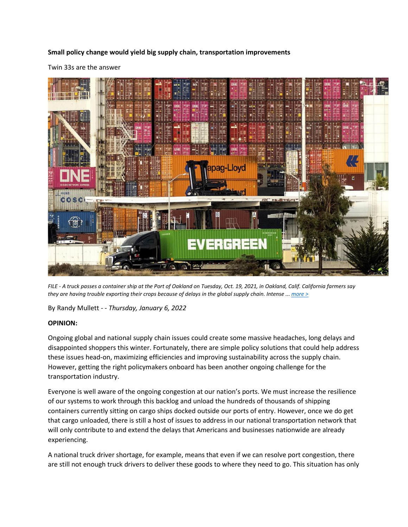## **Small policy change would yield big supply chain, transportation improvements**

Twin 33s are the answer



*FILE - A truck passes a container ship at the Port of Oakland on Tuesday, Oct. 19, 2021, in Oakland, Calif. California farmers say they are having trouble exporting their crops because of delays in the global supply chain. Intense ... [more >](https://www.washingtontimes.com/multimedia/image/ap_california_overloaded_ports_72527jpg/)*

By Randy Mullett *- - Thursday, January 6, 2022*

## **OPINION:**

Ongoing global and national supply chain issues could create some massive headaches, long delays and disappointed shoppers this winter. Fortunately, there are simple policy solutions that could help address these issues head-on, maximizing efficiencies and improving sustainability across the supply chain. However, getting the right policymakers onboard has been another ongoing challenge for the transportation industry.

Everyone is well aware of the ongoing congestion at our nation's ports. We must increase the resilience of our systems to work through this backlog and unload the hundreds of thousands of shipping containers currently sitting on cargo ships docked outside our ports of entry. However, once we do get that cargo unloaded, there is still a host of issues to address in our national transportation network that will only contribute to and extend the delays that Americans and businesses nationwide are already experiencing.

A national truck driver shortage, for example, means that even if we can resolve port congestion, there are still not enough truck drivers to deliver these goods to where they need to go. This situation has only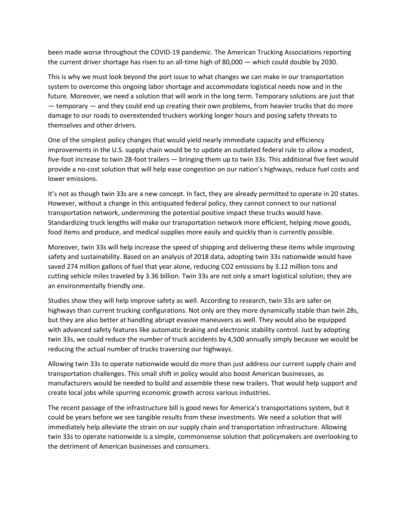been made worse throughout the COVID-19 pandemic. The American Trucking Associations reporting the current driver shortage has risen to an all-time high of 80,000 — which could double by 2030.

This is why we must look beyond the port issue to what changes we can make in our transportation system to overcome this ongoing labor shortage and accommodate logistical needs now and in the future. Moreover, we need a solution that will work in the long term. Temporary solutions are just that — temporary — and they could end up creating their own problems, from heavier trucks that do more damage to our roads to overextended truckers working longer hours and posing safety threats to themselves and other drivers.

One of the simplest policy changes that would yield nearly immediate capacity and efficiency improvements in the U.S. supply chain would be to update an outdated federal rule to allow a modest, five-foot increase to twin 28-foot trailers — bringing them up to twin 33s. This additional five feet would provide a no-cost solution that will help ease congestion on our nation's highways, reduce fuel costs and lower emissions.

It's not as though twin 33s are a new concept. In fact, they are already permitted to operate in 20 states. However, without a change in this antiquated federal policy, they cannot connect to our national transportation network, undermining the potential positive impact these trucks would have. Standardizing truck lengths will make our transportation network more efficient, helping move goods, food items and produce, and medical supplies more easily and quickly than is currently possible.

Moreover, twin 33s will help increase the speed of shipping and delivering these items while improving safety and sustainability. Based on an analysis of 2018 data, adopting twin 33s nationwide would have saved 274 million gallons of fuel that year alone, reducing CO2 emissions by 3.12 million tons and cutting vehicle miles traveled by 3.36 billion. Twin 33s are not only a smart logistical solution; they are an environmentally friendly one.

Studies show they will help improve safety as well. According to research, twin 33s are safer on highways than current trucking configurations. Not only are they more dynamically stable than twin 28s, but they are also better at handling abrupt evasive maneuvers as well. They would also be equipped with advanced safety features like automatic braking and electronic stability control. Just by adopting twin 33s, we could reduce the number of truck accidents by 4,500 annually simply because we would be reducing the actual number of trucks traversing our highways.

Allowing twin 33s to operate nationwide would do more than just address our current supply chain and transportation challenges. This small shift in policy would also boost American businesses, as manufacturers would be needed to build and assemble these new trailers. That would help support and create local jobs while spurring economic growth across various industries.

The recent passage of the infrastructure bill is good news for America's transportations system, but it could be years before we see tangible results from these investments. We need a solution that will immediately help alleviate the strain on our supply chain and transportation infrastructure. Allowing twin 33s to operate nationwide is a simple, commonsense solution that policymakers are overlooking to the detriment of American businesses and consumers.